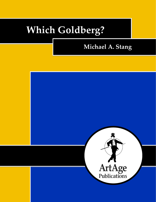# **Which Goldberg?**

# **Michael A. Stang**

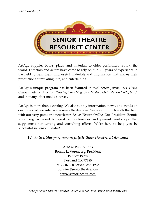

ArtAge supplies books, plays, and materials to older performers around the world. Directors and actors have come to rely on our 30+ years of experience in the field to help them find useful materials and information that makes their productions stimulating, fun, and entertaining.

ArtAge's unique program has been featured in *Wall Street Journal*, *LA Times*, *Chicago Tribune*, *American Theatre*, *Time Magazine*, *Modern Maturity*, on *CNN*, *NBC*, and in many other media sources.

ArtAge is more than a catalog. We also supply information, news, and trends on our top-rated website, www.seniortheatre.com. We stay in touch with the field with our very popular e-newsletter, *Senior Theatre Online*. Our President, Bonnie Vorenberg, is asked to speak at conferences and present workshops that supplement her writing and consulting efforts. We're here to help you be successful in Senior Theatre!

# *We help older performers fulfill their theatrical dreams!*

ArtAge Publications Bonnie L. Vorenberg, President PO Box 19955 Portland OR 97280 503-246-3000 or 800-858-4998 bonniev@seniortheatre.com www.seniortheatre.com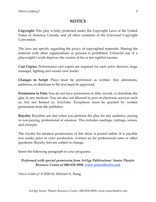## **NOTICE**

**Copyright:** This play is fully protected under the Copyright Laws of the United States of America, Canada, and all other countries of the Universal Copyright Convention.

The laws are specific regarding the piracy of copyrighted materials. Sharing the material with other organizations or persons is prohibited. Unlawful use of a playwright's work deprives the creator of his or her rightful income.

**Cast Copies:** Performance cast copies are required for each actor, director, stage manager, lighting and sound crew leader.

**Changes to Script:** Plays must be performed as written. Any alterations, additions, or deletions to the text must be approved.

**Permission to Film:** You do not have permission to film, record, or distribute the play in any medium. You are also not allowed to post on electronic services such as, but not limited to, YouTube. Exceptions must be granted by written permission from the publisher.

**Royalty:** Royalties are due when you perform the play for any audience, paying or non-paying, professional or amateur. This includes readings, cuttings, scenes, and excerpts.

The royalty for amateur productions of this show is posted online. It is payable two weeks prior to your production. Contact us for professional rates or other questions. Royalty fees are subject to change.

Insert the following paragraph in your programs:

### *Performed with special permission from ArtAge Publications' Senior Theatre Resource Center at 800-858-4998, www.seniortheatre.com*

*Which Goldberg?* © 2020 by Michael A. Stang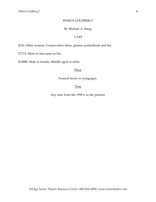#### WHICH GOLDBERG?

#### By Michael A. Stang

#### CAST

IDA: Older woman. Conservative dress, glasses, pocketbook and hat.

ETTA: More or less same as Ida.

RABBI: Male or female. Middle aged or older.

#### Place

Funeral home or synagogue.

#### **Time**

Any time from the 1950's, to the present.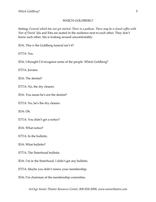#### WHICH GOLDBERG?

Setting: *Funeral which has not yet started. There is a podium. There may be a closed coffin with Star of David.* Ida and Etta are seated in the audience next to each other. They don't know each other. Ida is looking around uncomfortably.

IDA: This *is* the Goldberg funeral isn't it?

ETTA: Yes.

IDA: I thought I'd recognize some of the people. Which Goldberg?

ETTA: Jerome.

IDA: The dentist?

ETTA: No, the dry cleaner.

IDA: You mean he's not the dentist?

ETTA: No, he's the dry cleaner.

IDA: Oh.

ETTA: You didn't get a notice?

IDA: What notice?

ETTA: In the bulletin.

IDA: What bulletin?

ETTA: The Sisterhood bulletin.

IDA: I'm in the Sisterhood. I didn't get any bulletin.

ETTA: Maybe you didn't renew your membership.

IDA: I'm chairman of the membership committee.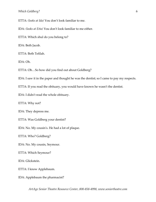ETTA: *(looks at Ida)* You don't look familiar to me.

IDA: *(looks at Etta)* You don't look familiar to me either.

ETTA: Which shul do you belong to?

IDA: Beth Jacob.

ETTA: Beth Tefilah.

IDA: Oh.

ETTA: Oh…So how did you find out about Goldberg?

IDA: I saw it in the paper and thought he was the dentist; so I came to pay my respects.

ETTA: If you read the obituary, you would have known he wasn't the dentist.

IDA: I didn't read the whole obituary.

ETTA: Why not?

IDA: They depress me.

ETTA: Was Goldberg your dentist?

IDA: No. My cousin's. He had a lot of plaque.

ETTA: Who? Goldberg?

IDA: No. My cousin, Seymour.

ETTA: Which Seymour?

IDA: Glickstein.

ETTA: I know Applebaum.

IDA: Applebaum the pharmacist?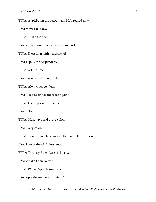ETTA: Applebaum the accountant. He's retired now.

IDA: Moved to Boca?

ETTA: That's the one.

IDA: My husband's accountant from work.

ETTA: Short man with a mustache?

IDA: Yep. Wore suspenders?

ETTA: All the time.

IDA: Never saw him with a belt.

ETTA: Always suspenders.

IDA: Liked to smoke those fat cigars?

ETTA: Had a pocket full of them.

IDA: Polo shirts.

ETTA: Must have had every color.

IDA: Every color.

ETTA: Two or three fat cigars stuffed in that little pocket.

IDA: Two or three? At least four.

ETTA: They say Eden Acres is lovely.

IDA: What's Eden Acres?

ETTA: Where Applebaum lives.

IDA: Applebaum the accountant?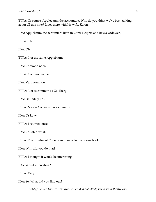ETTA: Of course, Applebaum the accountant. Who do you think we've been talking about all this time? Lives there with his wife, Karen.

IDA: Applebaum the accountant lives in Coral Heights and he's a widower.

ETTA: Oh.

IDA: Oh.

ETTA: Not the same Applebaum.

IDA: Common name.

ETTA: Common name.

IDA: Very common.

ETTA: Not as common as Goldberg.

IDA: Definitely not.

ETTA: Maybe Cohen is more common.

IDA: Or Levy.

ETTA: I counted once.

IDA: Counted what?

ETTA: The number of Cohens and Levys in the phone book.

IDA: Why did you do that?

ETTA: I thought it would be interesting.

IDA: Was it interesting?

ETTA: Very.

IDA: So. What did you find out?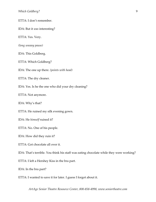#### ETTA: I don't remember.

IDA: But it *was* interesting?

ETTA: Yes. Very.

*(long uneasy pause)*

IDA: This Goldberg.

ETTA: Which Goldberg?

IDA: The one up there. *(points with head)*

ETTA: The dry cleaner.

IDA: Yes. Is he the one who did your dry cleaning?

ETTA: Not anymore.

IDA: Why's that?

ETTA: He ruined my silk evening gown.

IDA: He *himself* ruined it?

ETTA: No. One of his people.

IDA: How did they ruin it?

ETTA: Got chocolate all over it.

IDA: That's terrible. You think his staff was eating chocolate while they were working?

ETTA: I left a Hershey Kiss in the bra part.

IDA: In the bra part?

ETTA: I wanted to save it for later. I guess I forgot about it.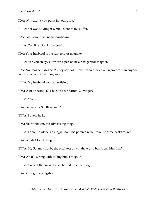IDA: Why didn't you put it in your purse?

ETTA: Sol was holding it while I went to the buffet.

IDA: Sol. Is your last name Birnbaum?

ETTA: Yes, it is. Do I know you?

IDA: Your husband is the refrigerator magnate.

ETTA: Are you crazy? How can a person be a refrigerator magnet?

IDA: Not magnet. Magnate! They say Sol Birnbaum sold more refrigerators than anyone in the greater…something area.

ETTA: My husband sold advertising.

IDA: Wait a second. Did he work for Barton-Clevinger?

ETTA: Yes.

IDA: So he is *the* Sol Birnbaum?

ETTA: I guess he is.

IDA: Sol Birnbaum, the advertising mogul.

ETTA: I don't think he's a mogul. Both his parents were from the same background.

IDA: What? Mogul. Mogul.

ETTA: My Sol may not be the brightest guy in the world but to call him that?

IDA: What's wrong with calling him a mogul?

ETTA: Doesn't that mean he's retarded or something?

IDA: A mogul is a bigshot.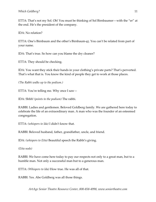ETTA: That's not my Sol. Oh! You must be thinking of Sol Birnbaumer—with the "er" at the end. He's the president of the company.

IDA: No relation?

ETTA: One's Birnbaum and the other's Birnbaum-er. You can't be related from part of your name.

IDA: That's true. So how can you blame the dry cleaner?

ETTA: They should be checking.

IDA: You want they stick their hands in your clothing's private parts? That's perverted. That's what that is. You know the kind of people they get to work at those places.

*(The Rabbi walks up to the podium.)*

ETTA: You're telling me. Why once I saw—

IDA: Shhh! *(points to the podium)* The rabbi.

RABBI: Ladies and gentlemen. Beloved Goldberg family. We are gathered here today to celebrate the life of an extraordinary man. A man who was the founder of an esteemed congregation.

ETTA: *(whispers to Ida)* I didn't know that.

RABBI: Beloved husband, father, grandfather, uncle, and friend.

IDA: *(whispers to Etta)* Beautiful speech the Rabbi's giving.

*(Etta nods)*

RABBI: We have come here today to pay our respects not only to a great man, but to a humble man. Not only a successful man but to a generous man.

ETTA: *(Whispers to Ida)* How true. He was all of that.

RABBI: Yes. Abe Goldberg was all those things.